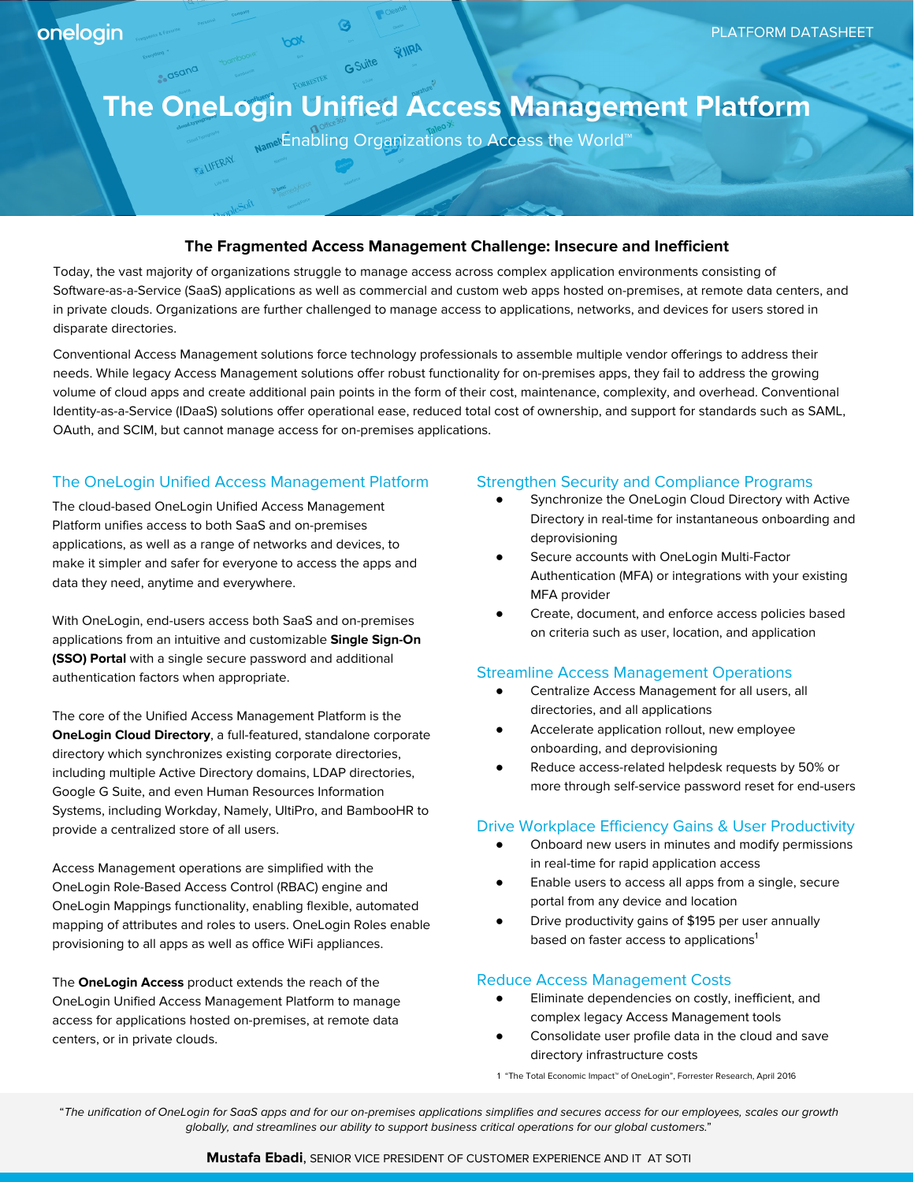e<sub>, dsana</sub>

**FALIFERAY.** 

# **The OneLogin Unified Access Management Platform**

GSuite WIRA

<sub>Name</sub> Enabling Organizations to Access the World<sup>™</sup>

## **The Fragmented Access Management Challenge: Insecure and Inefficient**

Today, the vast majority of organizations struggle to manage access across complex application environments consisting of Software-as-a-Service (SaaS) applications as well as commercial and custom web apps hosted on-premises, at remote data centers, and in private clouds. Organizations are further challenged to manage access to applications, networks, and devices for users stored in disparate directories.

Conventional Access Management solutions force technology professionals to assemble multiple vendor offerings to address their needs. While legacy Access Management solutions offer robust functionality for on-premises apps, they fail to address the growing volume of cloud apps and create additional pain points in the form of their cost, maintenance, complexity, and overhead. Conventional Identity-as-a-Service (IDaaS) solutions offer operational ease, reduced total cost of ownership, and support for standards such as SAML, OAuth, and SCIM, but cannot manage access for on-premises applications.

## The OneLogin Unified Access Management Platform

The cloud-based OneLogin Unified Access Management Platform unifies access to both SaaS and on-premises applications, as well as a range of networks and devices, to make it simpler and safer for everyone to access the apps and data they need, anytime and everywhere.

With OneLogin, end-users access both SaaS and on-premises applications from an intuitive and customizable **Single Sign-On (SSO) Portal** with a single secure password and additional authentication factors when appropriate.

The core of the Unified Access Management Platform is the **OneLogin Cloud Directory**, a full-featured, standalone corporate directory which synchronizes existing corporate directories, including multiple Active Directory domains, LDAP directories, Google G Suite, and even Human Resources Information Systems, including Workday, Namely, UltiPro, and BambooHR to provide a centralized store of all users.

Access Management operations are simplified with the OneLogin Role-Based Access Control (RBAC) engine and OneLogin Mappings functionality, enabling flexible, automated mapping of attributes and roles to users. OneLogin Roles enable provisioning to all apps as well as office WiFi appliances.

The **OneLogin Access** product extends the reach of the OneLogin Unified Access Management Platform to manage access for applications hosted on-premises, at remote data centers, or in private clouds.

### Strengthen Security and Compliance Programs

- Synchronize the OneLogin Cloud Directory with Active Directory in real-time for instantaneous onboarding and deprovisioning
- Secure accounts with OneLogin Multi-Factor Authentication (MFA) or integrations with your existing MFA provider
- Create, document, and enforce access policies based on criteria such as user, location, and application

#### Streamline Access Management Operations

- Centralize Access Management for all users, all directories, and all applications
- Accelerate application rollout, new employee onboarding, and deprovisioning
- Reduce access-related helpdesk requests by 50% or more through self-service password reset for end-users

#### Drive Workplace Efficiency Gains & User Productivity

- Onboard new users in minutes and modify permissions in real-time for rapid application access
- Enable users to access all apps from a single, secure portal from any device and location
- Drive productivity gains of \$195 per user annually based on faster access to applications<sup>1</sup>

## Reduce Access Management Costs

- Eliminate dependencies on costly, inefficient, and complex legacy Access Management tools
- Consolidate user profile data in the cloud and save directory infrastructure costs

1 "The Total Economic Impact™ of OneLogin", Forrester Research, April 2016

"The unification of OneLogin for SaaS apps and for our on-premises applications simplifies and secures access for our employees, scales our growth globally, and streamlines our ability to support business critical operations for our global customers."